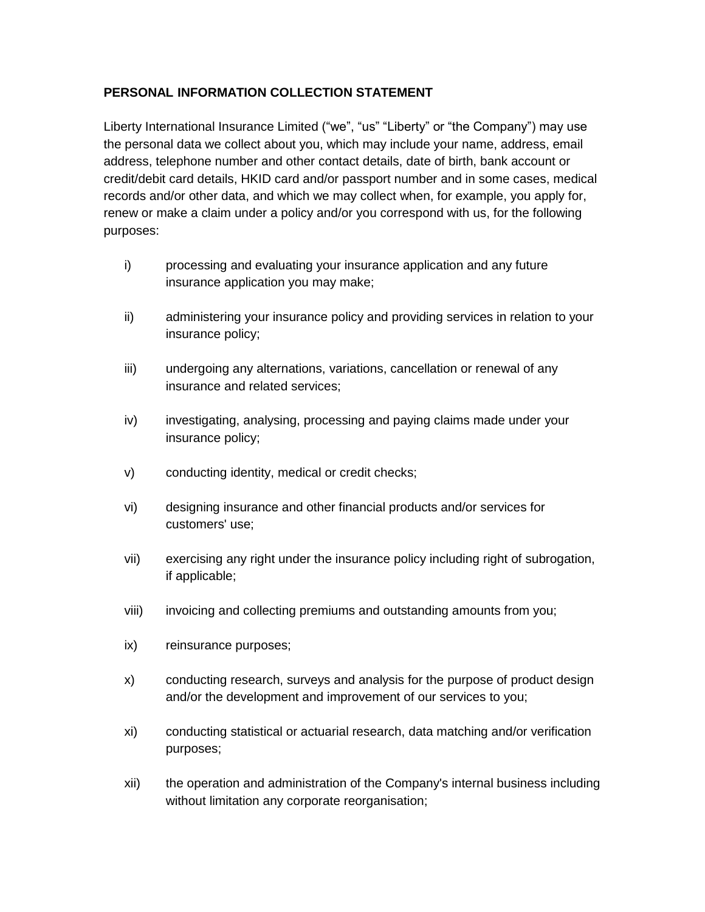## **PERSONAL INFORMATION COLLECTION STATEMENT**

Liberty International Insurance Limited ("we", "us" "Liberty" or "the Company") may use the personal data we collect about you, which may include your name, address, email address, telephone number and other contact details, date of birth, bank account or credit/debit card details, HKID card and/or passport number and in some cases, medical records and/or other data, and which we may collect when, for example, you apply for, renew or make a claim under a policy and/or you correspond with us, for the following purposes:

- i) processing and evaluating your insurance application and any future insurance application you may make;
- ii) administering your insurance policy and providing services in relation to your insurance policy;
- iii) undergoing any alternations, variations, cancellation or renewal of any insurance and related services;
- iv) investigating, analysing, processing and paying claims made under your insurance policy;
- v) conducting identity, medical or credit checks;
- vi) designing insurance and other financial products and/or services for customers' use;
- vii) exercising any right under the insurance policy including right of subrogation, if applicable;
- viii) invoicing and collecting premiums and outstanding amounts from you;
- ix) reinsurance purposes;
- x) conducting research, surveys and analysis for the purpose of product design and/or the development and improvement of our services to you;
- xi) conducting statistical or actuarial research, data matching and/or verification purposes;
- xii) the operation and administration of the Company's internal business including without limitation any corporate reorganisation;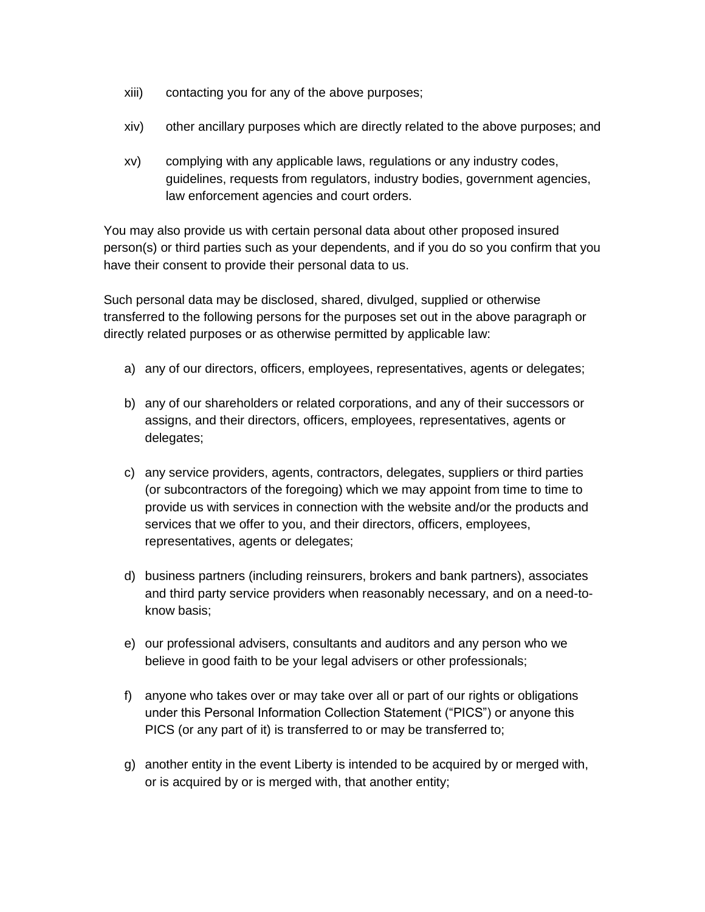- xiii) contacting you for any of the above purposes;
- xiv) other ancillary purposes which are directly related to the above purposes; and
- xv) complying with any applicable laws, regulations or any industry codes, guidelines, requests from regulators, industry bodies, government agencies, law enforcement agencies and court orders.

You may also provide us with certain personal data about other proposed insured person(s) or third parties such as your dependents, and if you do so you confirm that you have their consent to provide their personal data to us.

Such personal data may be disclosed, shared, divulged, supplied or otherwise transferred to the following persons for the purposes set out in the above paragraph or directly related purposes or as otherwise permitted by applicable law:

- a) any of our directors, officers, employees, representatives, agents or delegates;
- b) any of our shareholders or related corporations, and any of their successors or assigns, and their directors, officers, employees, representatives, agents or delegates;
- c) any service providers, agents, contractors, delegates, suppliers or third parties (or subcontractors of the foregoing) which we may appoint from time to time to provide us with services in connection with the website and/or the products and services that we offer to you, and their directors, officers, employees, representatives, agents or delegates;
- d) business partners (including reinsurers, brokers and bank partners), associates and third party service providers when reasonably necessary, and on a need-toknow basis;
- e) our professional advisers, consultants and auditors and any person who we believe in good faith to be your legal advisers or other professionals;
- f) anyone who takes over or may take over all or part of our rights or obligations under this Personal Information Collection Statement ("PICS") or anyone this PICS (or any part of it) is transferred to or may be transferred to;
- g) another entity in the event Liberty is intended to be acquired by or merged with, or is acquired by or is merged with, that another entity;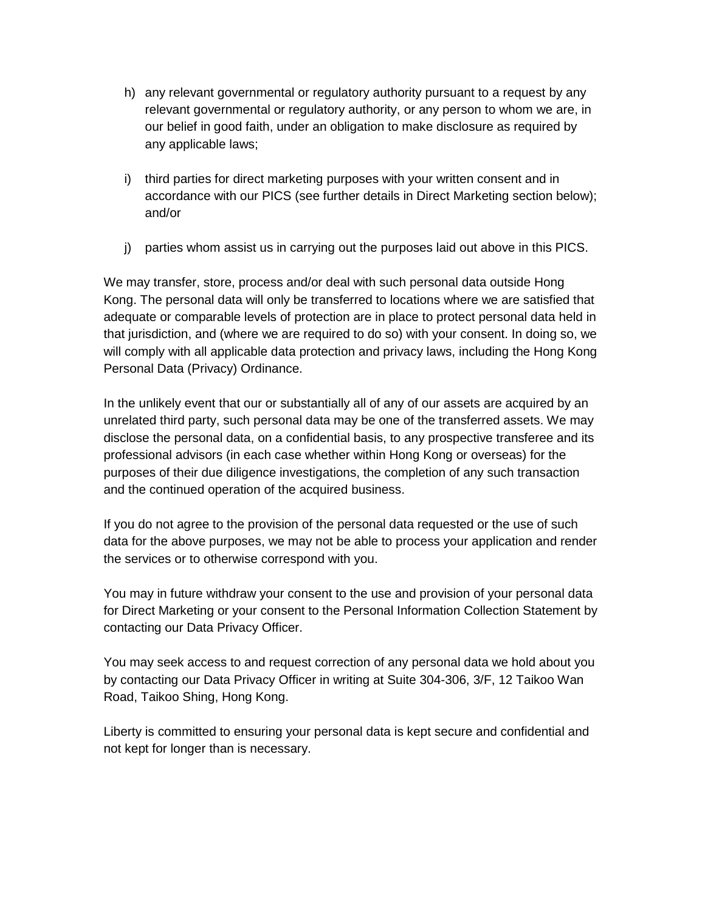- h) any relevant governmental or regulatory authority pursuant to a request by any relevant governmental or regulatory authority, or any person to whom we are, in our belief in good faith, under an obligation to make disclosure as required by any applicable laws;
- i) third parties for direct marketing purposes with your written consent and in accordance with our PICS (see further details in Direct Marketing section below); and/or
- j) parties whom assist us in carrying out the purposes laid out above in this PICS.

We may transfer, store, process and/or deal with such personal data outside Hong Kong. The personal data will only be transferred to locations where we are satisfied that adequate or comparable levels of protection are in place to protect personal data held in that jurisdiction, and (where we are required to do so) with your consent. In doing so, we will comply with all applicable data protection and privacy laws, including the Hong Kong Personal Data (Privacy) Ordinance.

In the unlikely event that our or substantially all of any of our assets are acquired by an unrelated third party, such personal data may be one of the transferred assets. We may disclose the personal data, on a confidential basis, to any prospective transferee and its professional advisors (in each case whether within Hong Kong or overseas) for the purposes of their due diligence investigations, the completion of any such transaction and the continued operation of the acquired business.

If you do not agree to the provision of the personal data requested or the use of such data for the above purposes, we may not be able to process your application and render the services or to otherwise correspond with you.

You may in future withdraw your consent to the use and provision of your personal data for Direct Marketing or your consent to the Personal Information Collection Statement by contacting our Data Privacy Officer.

You may seek access to and request correction of any personal data we hold about you by contacting our Data Privacy Officer in writing at Suite 304-306, 3/F, 12 Taikoo Wan Road, Taikoo Shing, Hong Kong.

Liberty is committed to ensuring your personal data is kept secure and confidential and not kept for longer than is necessary.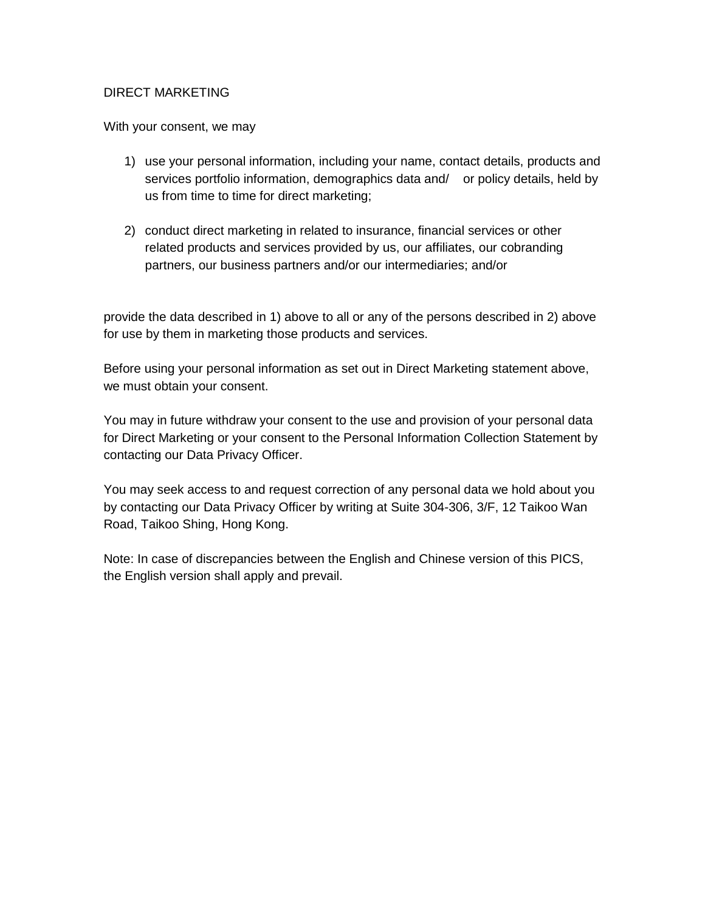## DIRECT MARKETING

With your consent, we may

- 1) use your personal information, including your name, contact details, products and services portfolio information, demographics data and/ or policy details, held by us from time to time for direct marketing;
- 2) conduct direct marketing in related to insurance, financial services or other related products and services provided by us, our affiliates, our cobranding partners, our business partners and/or our intermediaries; and/or

provide the data described in 1) above to all or any of the persons described in 2) above for use by them in marketing those products and services.

Before using your personal information as set out in Direct Marketing statement above, we must obtain your consent.

You may in future withdraw your consent to the use and provision of your personal data for Direct Marketing or your consent to the Personal Information Collection Statement by contacting our Data Privacy Officer.

You may seek access to and request correction of any personal data we hold about you by contacting our Data Privacy Officer by writing at Suite 304-306, 3/F, 12 Taikoo Wan Road, Taikoo Shing, Hong Kong.

Note: In case of discrepancies between the English and Chinese version of this PICS, the English version shall apply and prevail.